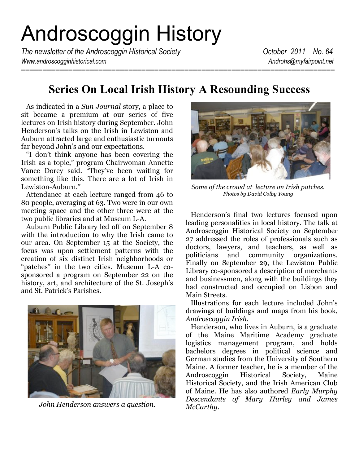# Androscoggin History

*The newsletter of the Androscoggin Historical Society* **Change 12011** *No. 64 Www.androscogginhistorical.com Androhs@myfairpoint.net*

# **Series On Local Irish History A Resounding Success**

 As indicated in a *Sun Journal* story, a place to sit became a premium at our series of five lectures on Irish history during September. John Henderson's talks on the Irish in Lewiston and Auburn attracted large and enthusiastic turnouts far beyond John's and our expectations.

 "I don't think anyone has been covering the Irish as a topic," program Chairwoman Annette Vance Dorey said. "They've been waiting for something like this. There are a lot of Irish in Lewiston-Auburn."

 Attendance at each lecture ranged from 46 to 80 people, averaging at 63. Two were in our own meeting space and the other three were at the two public libraries and at Museum L-A.

 Auburn Public Library led off on September 8 with the introduction to why the Irish came to our area. On September 15 at the Society, the focus was upon settlement patterns with the creation of six distinct Irish neighborhoods or "patches" in the two cities. Museum L-A cosponsored a program on September 22 on the history, art, and architecture of the St. Joseph's and St. Patrick's Parishes.



*McCarthy*. *John Henderson answers a question.*



*Some of the crowd at lecture on Irish patches. Photos by David Colby Young*

 Henderson's final two lectures focused upon leading personalities in local history. The talk at Androscoggin Historical Society on September 27 addressed the roles of professionals such as doctors, lawyers, and teachers, as well as politicians and community organizations. Finally on September 29, the Lewiston Public Library co-sponsored a description of merchants and businessmen, along with the buildings they had constructed and occupied on Lisbon and Main Streets.

 Illustrations for each lecture included John's drawings of buildings and maps from his book, *Androscoggin Irish.*

 Henderson, who lives in Auburn, is a graduate of the Maine Maritime Academy graduate logistics management program, and holds bachelors degrees in political science and German studies from the University of Southern Maine. A former teacher, he is a member of the Androscoggin Historical Society, Maine Historical Society, and the Irish American Club of Maine. He has also authored *Early Murphy Descendants of Mary Hurley and James*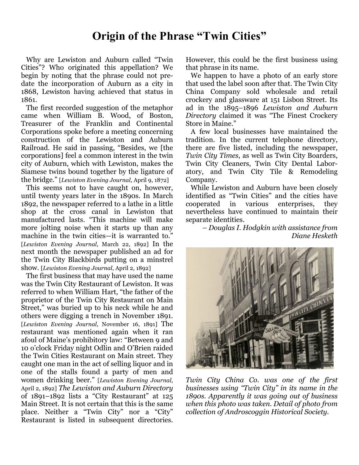# **Origin of the Phrase "Twin Cities"**

 Why are Lewiston and Auburn called "Twin Cities"? Who originated this appellation? We begin by noting that the phrase could not predate the incorporation of Auburn as a city in 1868, Lewiston having achieved that status in 1861.

 The first recorded suggestion of the metaphor came when William B. Wood, of Boston, Treasurer of the Franklin and Continental Corporations spoke before a meeting concerning construction of the Lewiston and Auburn Railroad. He said in passing, "Besides, we [the corporations] feel a common interest in the twin city of Auburn, which with Lewiston, makes the Siamese twins bound together by the ligature of the bridge." [*Lewiston Evening Journal*, April 9, 1872]

 This seems not to have caught on, however, until twenty years later in the 1890s. In March 1892, the newspaper referred to a lathe in a little shop at the cross canal in Lewiston that manufactured lasts. "This machine will make more jolting noise when it starts up than any machine in the twin cities—it is warranted to." [*Lewiston Evening Journal*, March 22, 1892] In the next month the newspaper published an ad for the Twin City Blackbirds putting on a minstrel show. [*Lewiston Evening Journal*, April 2, 1892]

 The first business that may have used the name was the Twin City Restaurant of Lewiston. It was referred to when William Hart, "the father of the proprietor of the Twin City Restaurant on Main Street," was buried up to his neck while he and others were digging a trench in November 1891. [*Lewiston Evening Journal*, November 16, 1891] The restaurant was mentioned again when it ran afoul of Maine's prohibitory law: "Between 9 and 10 o'clock Friday night Odlin and O'Brien raided the Twin Cities Restaurant on Main street. They caught one man in the act of selling liquor and in one of the stalls found a party of men and women drinking beer." [*Lewiston Evening Journal*, April 2, 1892] *The Lewiston and Auburn Directory* of 1891–1892 lists a "City Restaurant" at 125 Main Street. It is not certain that this is the same place. Neither a "Twin City" nor a "City" Restaurant is listed in subsequent directories.

However, this could be the first business using that phrase in its name.

 We happen to have a photo of an early store that used the label soon after that. The Twin City China Company sold wholesale and retail crockery and glassware at 151 Lisbon Street. Its ad in the 1895–1896 *Lewiston and Auburn Directory* claimed it was "The Finest Crockery Store in Maine."

 A few local businesses have maintained the tradition. In the current telephone directory, there are five listed, including the newspaper, *Twin City Times*, as well as Twin City Boarders, Twin City Cleaners, Twin City Dental Laboratory, and Twin City Tile & Remodeling Company.

 While Lewiston and Auburn have been closely identified as "Twin Cities" and the cities have cooperated in various enterprises, they nevertheless have continued to maintain their separate identities.

*– Douglas I. Hodgkin with assistance from Diane Hesketh*



*Twin City China Co. was one of the first businesses using "Twin City" in its name in the 1890s. Apparently it was going out of business when this photo was taken. Detail of photo from collection of Androscoggin Historical Society.*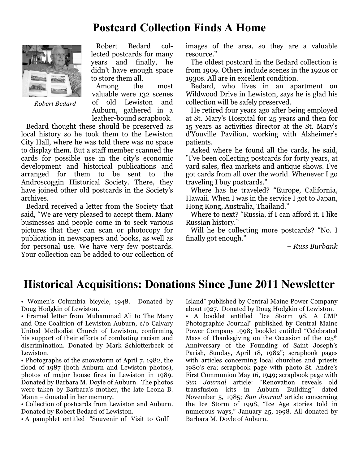# **Postcard Collection Finds A Home**



*Robert Bedard*

 Robert Bedard collected postcards for many years and finally, he didn't have enough space to store them all.

 Among the most valuable were 132 scenes of old Lewiston and Auburn, gathered in a leather-bound scrapbook.

 Bedard thought these should be preserved as local history so he took them to the Lewiston City Hall, where he was told there was no space to display them. But a staff member scanned the cards for possible use in the city's economic development and historical publications and arranged for them to be sent to the Androscoggin Historical Society. There, they have joined other old postcards in the Society's archives.

 Bedard received a letter from the Society that said, "We are very pleased to accept them. Many businesses and people come in to seek various pictures that they can scan or photocopy for publication in newspapers and books, as well as for personal use. We have very few postcards. Your collection can be added to our collection of images of the area, so they are a valuable resource."

 The oldest postcard in the Bedard collection is from 1909. Others include scenes in the 1920s or 1930s. All are in excellent condition.

 Bedard, who lives in an apartment on Wildwood Drive in Lewiston, says he is glad his collection will be safely preserved.

 He retired four years ago after being employed at St. Mary's Hospital for 25 years and then for 15 years as activities director at the St. Mary's d'Youville Pavilion, working with Alzheimer's patients.

 Asked where he found all the cards, he said, "I've been collecting postcards for forty years, at yard sales, flea markets and antique shows. I've got cards from all over the world. Whenever I go traveling I buy postcards."

 Where has he traveled? "Europe, California, Hawaii. When I was in the service I got to Japan, Hong Kong, Australia, Thailand."

 Where to next? "Russia, if I can afford it. I like Russian history."

 Will he be collecting more postcards? "No. I finally got enough."

*– Russ Burbank*

## **Historical Acquisitions: Donations Since June 2011 Newsletter**

• Women's Columbia bicycle, 1948. Donated by Doug Hodgkin of Lewiston.

• Framed letter from Muhammad Ali to The Many and One Coalition of Lewiston Auburn, c/o Calvary United Methodist Church of Lewiston, confirming his support of their efforts of combating racism and discrimination. Donated by Mark Schlotterbeck of Lewiston.

• Photographs of the snowstorm of April 7, 1982, the flood of 1987 (both Auburn and Lewiston photos), photos of major house fires in Lewiston in 1989. Donated by Barbara M. Doyle of Auburn. The photos were taken by Barbara's mother, the late Leona B. Mann – donated in her memory.

• Collection of postcards from Lewiston and Auburn. Donated by Robert Bedard of Lewiston.

• A pamphlet entitled "Souvenir of Visit to Gulf

Island" published by Central Maine Power Company about 1927. Donated by Doug Hodgkin of Lewiston. • A booklet entitled "Ice Storm 98, A CMP Photographic Journal" published by Central Maine Power Company 1998; booklet entitled "Celebrated Mass of Thanksgiving on the Occasion of the  $125<sup>th</sup>$ Anniversary of the Founding of Saint Joseph's Parish, Sunday, April 18, 1982"; scrapbook pages with articles concerning local churches and priests 1980's era; scrapbook page with photo St. Andre's First Communion May 16, 1949; scrapbook page with *Sun Journal* article: "Renovation reveals old transfusion kits in Auburn Building" dated November 5, 1985; *Sun Journal* article concerning the Ice Storm of 1998, "Ice Age stories told in numerous ways," January 25, 1998. All donated by Barbara M. Doyle of Auburn.